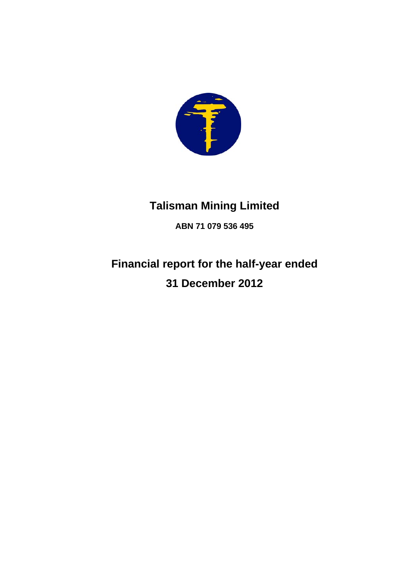

# **Talisman Mining Limited**

**ABN 71 079 536 495** 

# **Financial report for the half-year ended 31 December 2012**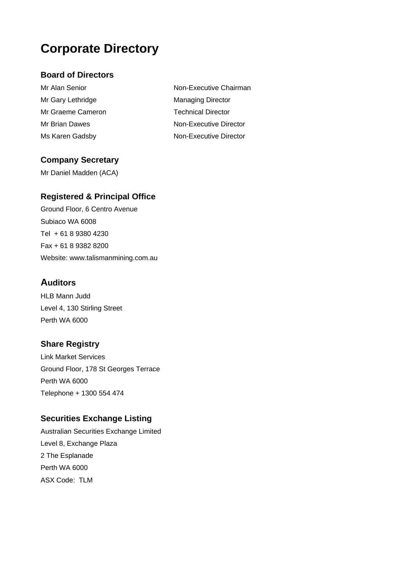# **Corporate Directory**

### **Board of Directors**

- Mr Gary Lethridge Managing Director Mr Graeme Cameron Technical Director
- Mr Alan Senior Non-Executive Chairman Mr Brian Dawes Non-Executive Director Ms Karen Gadsby Non-Executive Director

### **Company Secretary**

Mr Daniel Madden (ACA)

### **Registered & Principal Office**

Ground Floor, 6 Centro Avenue Subiaco WA 6008 Tel + 61 8 9380 4230 Fax + 61 8 9382 8200 Website: www.talismanmining.com.au

### **Auditors**

HLB Mann Judd Level 4, 130 Stirling Street Perth WA 6000

### **Share Registry**

Link Market Services Ground Floor, 178 St Georges Terrace Perth WA 6000 Telephone + 1300 554 474

### **Securities Exchange Listing**

Australian Securities Exchange Limited Level 8, Exchange Plaza 2 The Esplanade Perth WA 6000 ASX Code: TLM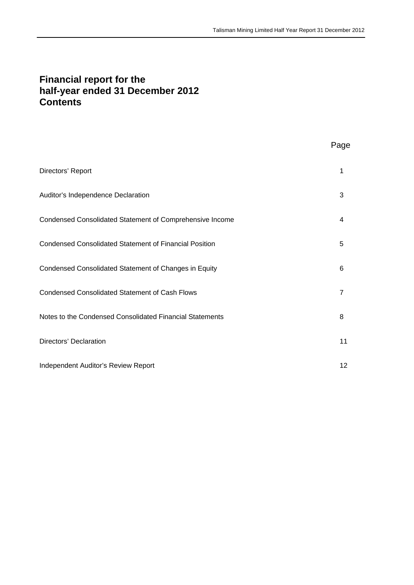### **Financial report for the half-year ended 31 December 2012 Contents**

## Page

| Directors' Report                                             | 1              |
|---------------------------------------------------------------|----------------|
| Auditor's Independence Declaration                            | 3              |
| Condensed Consolidated Statement of Comprehensive Income      | 4              |
| <b>Condensed Consolidated Statement of Financial Position</b> | 5              |
| Condensed Consolidated Statement of Changes in Equity         | 6              |
| <b>Condensed Consolidated Statement of Cash Flows</b>         | $\overline{7}$ |
| Notes to the Condensed Consolidated Financial Statements      | 8              |
| Directors' Declaration                                        | 11             |
| Independent Auditor's Review Report                           | 12             |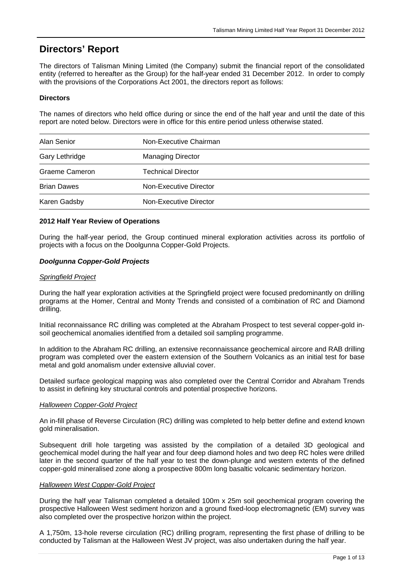## **Directors' Report**

The directors of Talisman Mining Limited (the Company) submit the financial report of the consolidated entity (referred to hereafter as the Group) for the half-year ended 31 December 2012. In order to comply with the provisions of the Corporations Act 2001, the directors report as follows:

#### **Directors**

The names of directors who held office during or since the end of the half year and until the date of this report are noted below. Directors were in office for this entire period unless otherwise stated.

| Alan Senior        | Non-Executive Chairman   |  |
|--------------------|--------------------------|--|
| Gary Lethridge     | <b>Managing Director</b> |  |
| Graeme Cameron     | Technical Director       |  |
| <b>Brian Dawes</b> | Non-Executive Director   |  |
| Karen Gadsby       | Non-Executive Director   |  |

#### **2012 Half Year Review of Operations**

During the half-year period, the Group continued mineral exploration activities across its portfolio of projects with a focus on the Doolgunna Copper-Gold Projects.

#### *Doolgunna Copper-Gold Projects*

#### *Springfield Project*

During the half year exploration activities at the Springfield project were focused predominantly on drilling programs at the Homer, Central and Monty Trends and consisted of a combination of RC and Diamond drilling.

Initial reconnaissance RC drilling was completed at the Abraham Prospect to test several copper-gold insoil geochemical anomalies identified from a detailed soil sampling programme.

In addition to the Abraham RC drilling, an extensive reconnaissance geochemical aircore and RAB drilling program was completed over the eastern extension of the Southern Volcanics as an initial test for base metal and gold anomalism under extensive alluvial cover.

Detailed surface geological mapping was also completed over the Central Corridor and Abraham Trends to assist in defining key structural controls and potential prospective horizons.

#### *Halloween Copper-Gold Project*

An in-fill phase of Reverse Circulation (RC) drilling was completed to help better define and extend known gold mineralisation.

Subsequent drill hole targeting was assisted by the compilation of a detailed 3D geological and geochemical model during the half year and four deep diamond holes and two deep RC holes were drilled later in the second quarter of the half year to test the down-plunge and western extents of the defined copper-gold mineralised zone along a prospective 800m long basaltic volcanic sedimentary horizon.

#### *Halloween West Copper-Gold Project*

During the half year Talisman completed a detailed 100m x 25m soil geochemical program covering the prospective Halloween West sediment horizon and a ground fixed-loop electromagnetic (EM) survey was also completed over the prospective horizon within the project.

A 1,750m, 13-hole reverse circulation (RC) drilling program, representing the first phase of drilling to be conducted by Talisman at the Halloween West JV project, was also undertaken during the half year.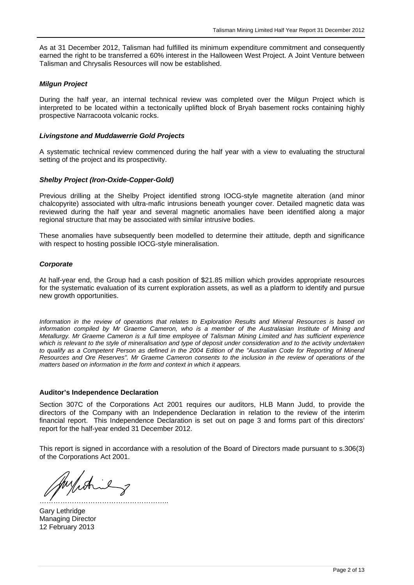As at 31 December 2012, Talisman had fulfilled its minimum expenditure commitment and consequently earned the right to be transferred a 60% interest in the Halloween West Project. A Joint Venture between Talisman and Chrysalis Resources will now be established.

#### *Milgun Project*

During the half year, an internal technical review was completed over the Milgun Project which is interpreted to be located within a tectonically uplifted block of Bryah basement rocks containing highly prospective Narracoota volcanic rocks.

#### *Livingstone and Muddawerrie Gold Projects*

A systematic technical review commenced during the half year with a view to evaluating the structural setting of the project and its prospectivity.

#### *Shelby Project (Iron-Oxide-Copper-Gold)*

Previous drilling at the Shelby Project identified strong IOCG-style magnetite alteration (and minor chalcopyrite) associated with ultra-mafic intrusions beneath younger cover. Detailed magnetic data was reviewed during the half year and several magnetic anomalies have been identified along a major regional structure that may be associated with similar intrusive bodies.

These anomalies have subsequently been modelled to determine their attitude, depth and significance with respect to hosting possible IOCG-style mineralisation.

#### *Corporate*

At half-year end, the Group had a cash position of \$21.85 million which provides appropriate resources for the systematic evaluation of its current exploration assets, as well as a platform to identify and pursue new growth opportunities.

*Information in the review of operations that relates to Exploration Results and Mineral Resources is based on information compiled by Mr Graeme Cameron, who is a member of the Australasian Institute of Mining and Metallurgy. Mr Graeme Cameron is a full time employee of Talisman Mining Limited and has sufficient experience which is relevant to the style of mineralisation and type of deposit under consideration and to the activity undertaken*  to qualify as a Competent Person as defined in the 2004 Edition of the "Australian Code for Reporting of Mineral *Resources and Ore Reserves". Mr Graeme Cameron consents to the inclusion in the review of operations of the matters based on information in the form and context in which it appears.* 

#### **Auditor's Independence Declaration**

Section 307C of the Corporations Act 2001 requires our auditors, HLB Mann Judd, to provide the directors of the Company with an Independence Declaration in relation to the review of the interim financial report. This Independence Declaration is set out on page 3 and forms part of this directors' report for the half-year ended 31 December 2012.

This report is signed in accordance with a resolution of the Board of Directors made pursuant to s.306(3) of the Corporations Act 2001.

Augustine ………………………………………………..

Gary Lethridge Managing Director 12 February 2013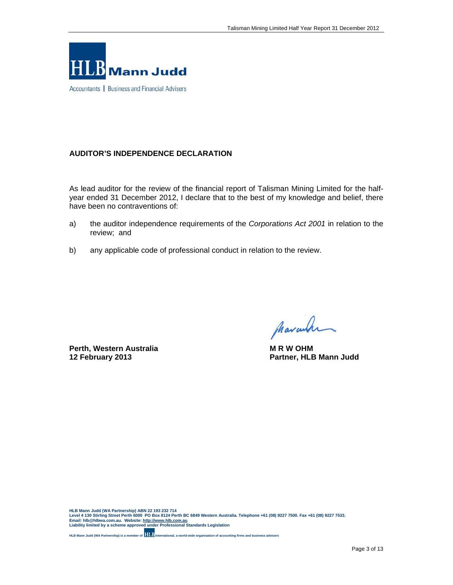

Accountants | Business and Financial Advisers

#### **AUDITOR'S INDEPENDENCE DECLARATION**

As lead auditor for the review of the financial report of Talisman Mining Limited for the halfyear ended 31 December 2012, I declare that to the best of my knowledge and belief, there have been no contraventions of:

- a) the auditor independence requirements of the *Corporations Act 2001* in relation to the review; and
- b) any applicable code of professional conduct in relation to the review.

**Perth, Western Australia M R W OHM** 

Marcular

**12 February 2013 Partner, HLB Mann Judd**

HLB Mann Judd (WA Partnership) ABN 22 193 232 714<br>Level 4 130 Stirling Street Perth 6000 PO Box 8124 Perth BC 6849 Western Australia. Telephone +61 (08) 9227 7500. Fax +61 (08) 9227 7533.<br>Email: hIb @hIbwa.com.au. Website

**HLB Mann Judd (WA Partnership) is a member of International, a world-wide organisation of accounting firms and business advisers**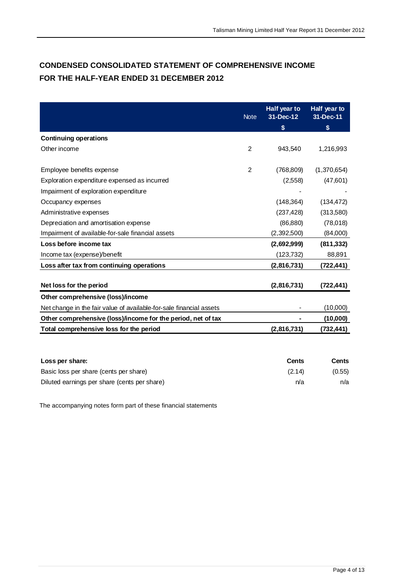## **CONDENSED CONSOLIDATED STATEMENT OF COMPREHENSIVE INCOME FOR THE HALF-YEAR ENDED 31 DECEMBER 2012**

|                                                                     | <b>Note</b>    | Half year to<br>$31$ -Dec-12 | Half year to<br>31-Dec-11 |
|---------------------------------------------------------------------|----------------|------------------------------|---------------------------|
|                                                                     |                | \$                           | \$                        |
| <b>Continuing operations</b>                                        |                |                              |                           |
| Other income                                                        | $\mathcal{P}$  | 943.540                      | 1,216,993                 |
| Employee benefits expense                                           | $\overline{2}$ | (768, 809)                   | (1,370,654)               |
|                                                                     |                |                              |                           |
| Exploration expenditure expensed as incurred                        |                | (2,558)                      | (47,601)                  |
| Impairment of exploration expenditure                               |                |                              |                           |
| Occupancy expenses                                                  |                | (148, 364)                   | (134, 472)                |
| Administrative expenses                                             |                | (237, 428)                   | (313,580)                 |
| Depreciation and amortisation expense                               |                | (86, 880)                    | (78,018)                  |
| Impairment of available-for-sale financial assets                   |                | (2,392,500)                  | (84,000)                  |
| Loss before income tax                                              |                | (2,692,999)                  | (811, 332)                |
| Income tax (expense)/benefit                                        |                | (123, 732)                   | 88,891                    |
| Loss after tax from continuing operations                           |                | (2,816,731)                  | (722, 441)                |
| Net loss for the period                                             |                | (2,816,731)                  | (722,441)                 |
| Other comprehensive (loss)/income                                   |                |                              |                           |
| Net change in the fair value of available-for-sale financial assets |                |                              | (10,000)                  |
| Other comprehensive (loss)/income for the period, net of tax        |                |                              | (10,000)                  |
| Total comprehensive loss for the period                             |                | (2,816,731)                  | (732,441)                 |
|                                                                     |                |                              |                           |

| Loss per share:                              | Cents  | <b>Cents</b> |
|----------------------------------------------|--------|--------------|
| Basic loss per share (cents per share)       | (2.14) | (0.55)       |
| Diluted earnings per share (cents per share) | n/a    | n/a          |

The accompanying notes form part of these financial statements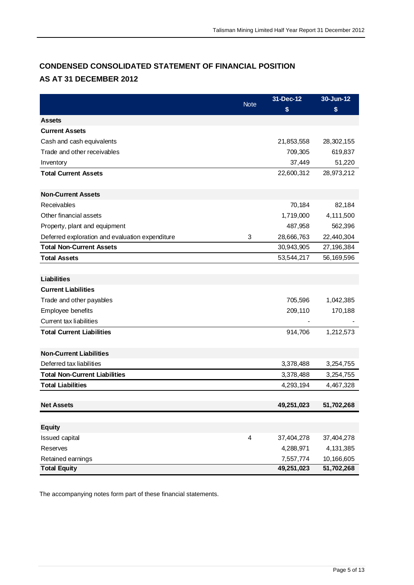# **CONDENSED CONSOLIDATED STATEMENT OF FINANCIAL POSITION AS AT 31 DECEMBER 2012**

|                                                 |             | 31-Dec-12               | 30-Jun-12                |
|-------------------------------------------------|-------------|-------------------------|--------------------------|
|                                                 | <b>Note</b> | \$                      | \$                       |
| <b>Assets</b>                                   |             |                         |                          |
| <b>Current Assets</b>                           |             |                         |                          |
| Cash and cash equivalents                       |             | 21,853,558              | 28,302,155               |
| Trade and other receivables                     |             | 709,305                 | 619,837                  |
| Inventory                                       |             | 37,449                  | 51,220                   |
| <b>Total Current Assets</b>                     |             | 22,600,312              | 28,973,212               |
| <b>Non-Current Assets</b>                       |             |                         |                          |
| Receivables                                     |             | 70,184                  | 82,184                   |
| Other financial assets                          |             | 1,719,000               | 4,111,500                |
| Property, plant and equipment                   |             | 487,958                 | 562,396                  |
| Deferred exploration and evaluation expenditure | 3           | 28,666,763              | 22,440,304               |
| <b>Total Non-Current Assets</b>                 |             | 30,943,905              | 27,196,384               |
| <b>Total Assets</b>                             |             | 53,544,217              | 56,169,596               |
|                                                 |             |                         |                          |
| <b>Liabilities</b>                              |             |                         |                          |
| <b>Current Liabilities</b>                      |             |                         |                          |
| Trade and other payables                        |             | 705,596                 | 1,042,385                |
| Employee benefits                               |             | 209,110                 | 170,188                  |
| Current tax liabilities                         |             |                         |                          |
| <b>Total Current Liabilities</b>                |             | 914,706                 | 1,212,573                |
| <b>Non-Current Liabilities</b>                  |             |                         |                          |
| Deferred tax liabilities                        |             | 3,378,488               | 3,254,755                |
| <b>Total Non-Current Liabilities</b>            |             | 3,378,488               | 3,254,755                |
| <b>Total Liabilities</b>                        |             | 4,293,194               | 4,467,328                |
|                                                 |             |                         |                          |
| <b>Net Assets</b>                               |             | 49,251,023              | 51,702,268               |
|                                                 |             |                         |                          |
| <b>Equity</b>                                   |             |                         |                          |
| Issued capital                                  | 4           | 37,404,278              | 37,404,278               |
| Reserves                                        |             | 4,288,971               | 4, 131, 385              |
| Retained earnings<br><b>Total Equity</b>        |             | 7,557,774<br>49,251,023 | 10,166,605<br>51,702,268 |

The accompanying notes form part of these financial statements.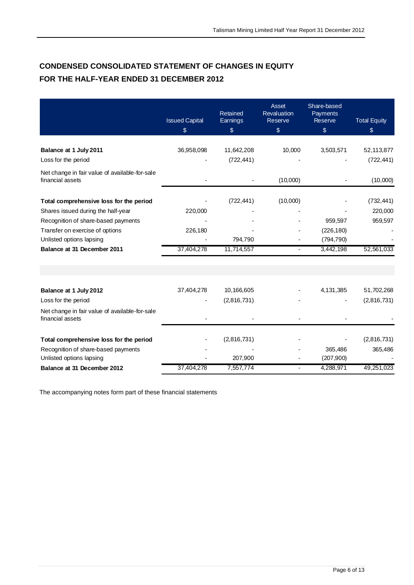# **CONDENSED CONSOLIDATED STATEMENT OF CHANGES IN EQUITY FOR THE HALF-YEAR ENDED 31 DECEMBER 2012**

|                                                                    | <b>Issued Capital</b><br>\$ | Retained<br>Earnings<br>$\$\$ | <b>Asset</b><br>Revaluation<br>Reserve<br>$\frac{1}{2}$ | Share-based<br>Payments<br>Reserve<br>$\sqrt[6]{\frac{1}{2}}$ | <b>Total Equity</b><br>\$ |
|--------------------------------------------------------------------|-----------------------------|-------------------------------|---------------------------------------------------------|---------------------------------------------------------------|---------------------------|
|                                                                    |                             |                               |                                                         |                                                               |                           |
| Balance at 1 July 2011                                             | 36,958,098                  | 11,642,208                    | 10,000                                                  | 3,503,571                                                     | 52,113,877                |
| Loss for the period                                                |                             | (722, 441)                    |                                                         |                                                               | (722, 441)                |
| Net change in fair value of available-for-sale<br>financial assets |                             |                               | (10,000)                                                |                                                               | (10,000)                  |
| Total comprehensive loss for the period                            |                             | (722, 441)                    | (10,000)                                                |                                                               | (732, 441)                |
| Shares issued during the half-year                                 | 220,000                     |                               |                                                         |                                                               | 220,000                   |
| Recognition of share-based payments                                |                             |                               |                                                         | 959,597                                                       | 959,597                   |
| Transfer on exercise of options                                    | 226,180                     |                               |                                                         | (226, 180)                                                    |                           |
| Unlisted options lapsing                                           |                             | 794,790                       |                                                         | (794, 790)                                                    |                           |
| Balance at 31 December 2011                                        | 37,404,278                  | 11,714,557                    |                                                         | 3,442,198                                                     | 52,561,033                |
| Balance at 1 July 2012                                             | 37,404,278                  | 10,166,605                    |                                                         | 4,131,385                                                     | 51,702,268                |
| Loss for the period                                                |                             | (2,816,731)                   |                                                         |                                                               | (2,816,731)               |
| Net change in fair value of available-for-sale<br>financial assets |                             |                               |                                                         |                                                               |                           |
| Total comprehensive loss for the period                            |                             | (2,816,731)                   |                                                         |                                                               | (2,816,731)               |
| Recognition of share-based payments                                |                             |                               |                                                         | 365,486                                                       | 365,486                   |
| Unlisted options lapsing                                           |                             | 207,900                       |                                                         | (207,900)                                                     |                           |
| Balance at 31 December 2012                                        | 37,404,278                  | 7,557,774                     |                                                         | 4,288,971                                                     | 49,251,023                |

The accompanying notes form part of these financial statements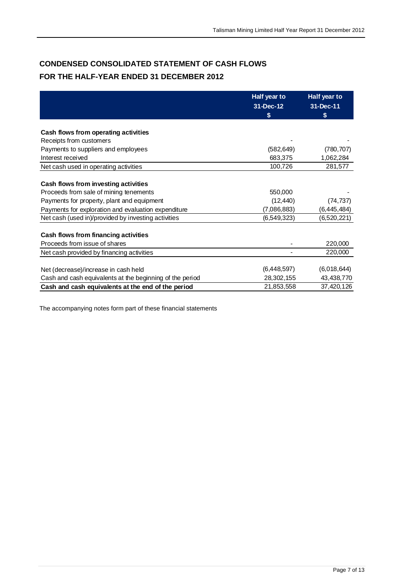# **CONDENSED CONSOLIDATED STATEMENT OF CASH FLOWS FOR THE HALF-YEAR ENDED 31 DECEMBER 2012**

|                                                          | Half year to    | Half year to   |
|----------------------------------------------------------|-----------------|----------------|
|                                                          | 31-Dec-12<br>\$ | 31-Dec-11<br>S |
| Cash flows from operating activities                     |                 |                |
| Receipts from customers                                  |                 |                |
| Payments to suppliers and employees                      | (582, 649)      | (780, 707)     |
| Interest received                                        | 683,375         | 1,062,284      |
| Net cash used in operating activities                    | 100,726         | 281,577        |
|                                                          |                 |                |
| Cash flows from investing activities                     |                 |                |
| Proceeds from sale of mining tenements                   | 550,000         |                |
| Payments for property, plant and equipment               | (12, 440)       | (74, 737)      |
| Payments for exploration and evaluation expenditure      | (7,086,883)     | (6, 445, 484)  |
| Net cash (used in)/provided by investing activities      | (6,549,323)     | (6,520,221)    |
|                                                          |                 |                |
| Cash flows from financing activities                     |                 |                |
| Proceeds from issue of shares                            |                 | 220,000        |
| Net cash provided by financing activities                |                 | 220,000        |
|                                                          |                 |                |
| Net (decrease)/increase in cash held                     | (6,448,597)     | (6,018,644)    |
| Cash and cash equivalents at the beginning of the period | 28,302,155      | 43,438,770     |
| Cash and cash equivalents at the end of the period       | 21,853,558      | 37,420,126     |

The accompanying notes form part of these financial statements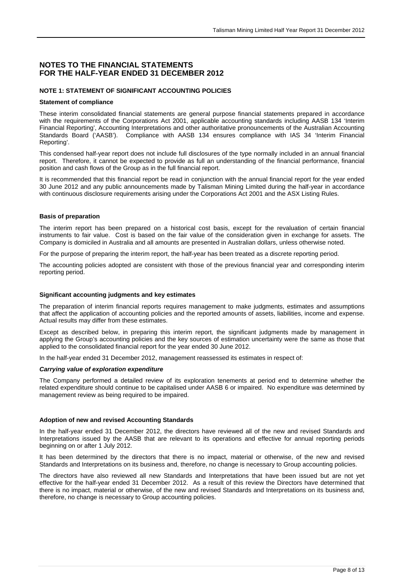#### **NOTES TO THE FINANCIAL STATEMENTS FOR THE HALF-YEAR ENDED 31 DECEMBER 2012**

#### **NOTE 1: STATEMENT OF SIGNIFICANT ACCOUNTING POLICIES**

#### **Statement of compliance**

These interim consolidated financial statements are general purpose financial statements prepared in accordance with the requirements of the Corporations Act 2001, applicable accounting standards including AASB 134 'Interim Financial Reporting', Accounting Interpretations and other authoritative pronouncements of the Australian Accounting Standards Board ('AASB'). Compliance with AASB 134 ensures compliance with IAS 34 'Interim Financial Reporting'.

This condensed half-year report does not include full disclosures of the type normally included in an annual financial report. Therefore, it cannot be expected to provide as full an understanding of the financial performance, financial position and cash flows of the Group as in the full financial report.

It is recommended that this financial report be read in conjunction with the annual financial report for the year ended 30 June 2012 and any public announcements made by Talisman Mining Limited during the half-year in accordance with continuous disclosure requirements arising under the Corporations Act 2001 and the ASX Listing Rules.

#### **Basis of preparation**

The interim report has been prepared on a historical cost basis, except for the revaluation of certain financial instruments to fair value. Cost is based on the fair value of the consideration given in exchange for assets. The Company is domiciled in Australia and all amounts are presented in Australian dollars, unless otherwise noted.

For the purpose of preparing the interim report, the half-year has been treated as a discrete reporting period.

The accounting policies adopted are consistent with those of the previous financial year and corresponding interim reporting period.

#### **Significant accounting judgments and key estimates**

The preparation of interim financial reports requires management to make judgments, estimates and assumptions that affect the application of accounting policies and the reported amounts of assets, liabilities, income and expense. Actual results may differ from these estimates.

Except as described below, in preparing this interim report, the significant judgments made by management in applying the Group's accounting policies and the key sources of estimation uncertainty were the same as those that applied to the consolidated financial report for the year ended 30 June 2012.

In the half-year ended 31 December 2012, management reassessed its estimates in respect of:

#### *Carrying value of exploration expenditure*

The Company performed a detailed review of its exploration tenements at period end to determine whether the related expenditure should continue to be capitalised under AASB 6 or impaired. No expenditure was determined by management review as being required to be impaired.

#### **Adoption of new and revised Accounting Standards**

In the half-year ended 31 December 2012, the directors have reviewed all of the new and revised Standards and Interpretations issued by the AASB that are relevant to its operations and effective for annual reporting periods beginning on or after 1 July 2012.

It has been determined by the directors that there is no impact, material or otherwise, of the new and revised Standards and Interpretations on its business and, therefore, no change is necessary to Group accounting policies.

The directors have also reviewed all new Standards and Interpretations that have been issued but are not yet effective for the half-year ended 31 December 2012. As a result of this review the Directors have determined that there is no impact, material or otherwise, of the new and revised Standards and Interpretations on its business and, therefore, no change is necessary to Group accounting policies.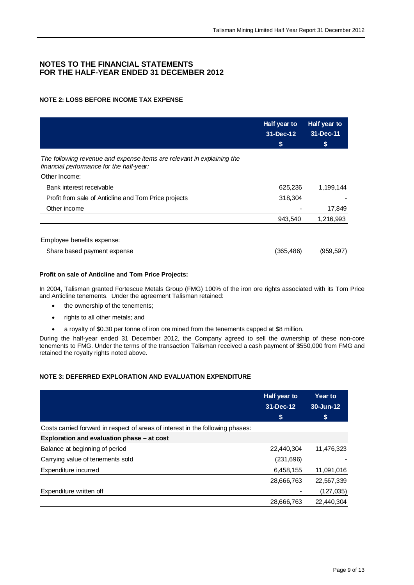#### **NOTES TO THE FINANCIAL STATEMENTS FOR THE HALF-YEAR ENDED 31 DECEMBER 2012**

#### **NOTE 2: LOSS BEFORE INCOME TAX EXPENSE**

|                                                                                                                    | Half year to<br>31-Dec-12 | <b>Half year to</b><br>31-Dec-11 |
|--------------------------------------------------------------------------------------------------------------------|---------------------------|----------------------------------|
|                                                                                                                    | \$                        | \$                               |
| The following revenue and expense items are relevant in explaining the<br>financial performance for the half-year: |                           |                                  |
| Other Income:                                                                                                      |                           |                                  |
| Bank interest receivable                                                                                           | 625,236                   | 1,199,144                        |
| Profit from sale of Anticline and Tom Price projects                                                               | 318,304                   |                                  |
| Other income                                                                                                       |                           | 17,849                           |
|                                                                                                                    | 943,540                   | 1,216,993                        |
| Employee benefits expense:                                                                                         |                           |                                  |
| Share based payment expense                                                                                        | (365,486)                 | (959, 597)                       |

#### **Profit on sale of Anticline and Tom Price Projects:**

In 2004, Talisman granted Fortescue Metals Group (FMG) 100% of the iron ore rights associated with its Tom Price and Anticline tenements. Under the agreement Talisman retained:

- the ownership of the tenements;
- rights to all other metals; and
- a royalty of \$0.30 per tonne of iron ore mined from the tenements capped at \$8 million.

During the half-year ended 31 December 2012, the Company agreed to sell the ownership of these non-core tenements to FMG. Under the terms of the transaction Talisman received a cash payment of \$550,000 from FMG and retained the royalty rights noted above.

#### **NOTE 3: DEFERRED EXPLORATION AND EVALUATION EXPENDITURE**

|                                                                                | Half year to<br>31-Dec-12<br>\$ | <b>Year to</b><br>30-Jun-12<br>\$ |
|--------------------------------------------------------------------------------|---------------------------------|-----------------------------------|
| Costs carried forward in respect of areas of interest in the following phases: |                                 |                                   |
| Exploration and evaluation phase - at cost                                     |                                 |                                   |
| Balance at beginning of period                                                 | 22,440,304                      | 11,476,323                        |
| Carrying value of tenements sold                                               | (231,696)                       |                                   |
| Expenditure incurred                                                           | 6,458,155                       | 11,091,016                        |
|                                                                                | 28,666,763                      | 22,567,339                        |
| Expenditure written off                                                        |                                 | (127, 035)                        |
|                                                                                | 28,666,763                      | 22,440,304                        |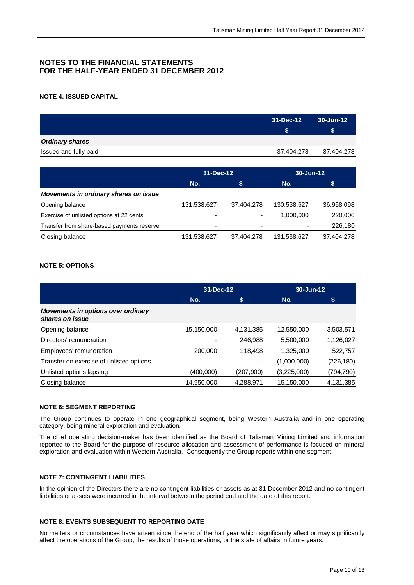#### **NOTES TO THE FINANCIAL STATEMENTS FOR THE HALF-YEAR ENDED 31 DECEMBER 2012**

#### **NOTE 4: ISSUED CAPITAL**

|                        | 31-Dec-12  | $30 - Jun-12$ |
|------------------------|------------|---------------|
|                        |            | S.            |
| <b>Ordinary shares</b> |            |               |
| Issued and fully paid  | 37,404,278 | 37,404,278    |
|                        |            |               |

|                                            | 31-Dec-12                |            | 30-Jun-12                |            |
|--------------------------------------------|--------------------------|------------|--------------------------|------------|
|                                            | No.                      | \$         | No.                      | \$         |
| Movements in ordinary shares on issue      |                          |            |                          |            |
| Opening balance                            | 131,538,627              | 37,404,278 | 130.538.627              | 36,958,098 |
| Exercise of unlisted options at 22 cents   | ٠                        | -          | 1,000,000                | 220,000    |
| Transfer from share-based payments reserve | $\overline{\phantom{0}}$ | ۰          | $\overline{\phantom{0}}$ | 226,180    |
| Closing balance                            | 131,538,627              | 37,404,278 | 131,538,627              | 37,404,278 |

#### **NOTE 5: OPTIONS**

|                                                       | 31-Dec-12  |                | 30-Jun-12   |            |
|-------------------------------------------------------|------------|----------------|-------------|------------|
|                                                       | No.        | \$             | No.         | S          |
| Movements in options over ordinary<br>shares on issue |            |                |             |            |
| Opening balance                                       | 15,150,000 | 4,131,385      | 12,550,000  | 3,503,571  |
| Directors' remuneration                               |            | 246,988        | 5,500,000   | 1,126,027  |
| Employees' remuneration                               | 200.000    | 118,498        | 1,325,000   | 522,757    |
| Transfer on exercise of unlisted options              |            | $\blacksquare$ | (1,000,000) | (226, 180) |
| Unlisted options lapsing                              | (400,000)  | (207,900)      | (3,225,000) | (794, 790) |
| Closing balance                                       | 14,950,000 | 4,288,971      | 15,150,000  | 4,131,385  |

#### **NOTE 6: SEGMENT REPORTING**

The Group continues to operate in one geographical segment, being Western Australia and in one operating category, being mineral exploration and evaluation.

The chief operating decision-maker has been identified as the Board of Talisman Mining Limited and information reported to the Board for the purpose of resource allocation and assessment of performance is focused on mineral exploration and evaluation within Western Australia. Consequently the Group reports within one segment.

#### **NOTE 7: CONTINGENT LIABILITIES**

In the opinion of the Directors there are no contingent liabilities or assets as at 31 December 2012 and no contingent liabilities or assets were incurred in the interval between the period end and the date of this report.

#### **NOTE 8: EVENTS SUBSEQUENT TO REPORTING DATE**

No matters or circumstances have arisen since the end of the half year which significantly affect or may significantly affect the operations of the Group, the results of those operations, or the state of affairs in future years.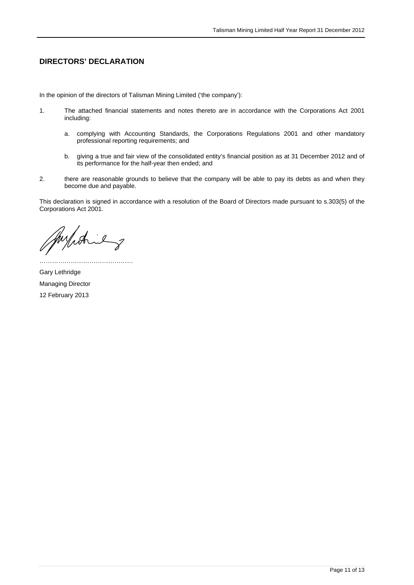#### **DIRECTORS' DECLARATION**

In the opinion of the directors of Talisman Mining Limited ('the company'):

- 1. The attached financial statements and notes thereto are in accordance with the Corporations Act 2001 including:
	- a. complying with Accounting Standards, the Corporations Regulations 2001 and other mandatory professional reporting requirements; and
	- b. giving a true and fair view of the consolidated entity's financial position as at 31 December 2012 and of its performance for the half-year then ended; and
- 2. there are reasonable grounds to believe that the company will be able to pay its debts as and when they become due and payable.

This declaration is signed in accordance with a resolution of the Board of Directors made pursuant to s.303(5) of the Corporations Act 2001.

myich il  $\checkmark$ 

…………………………

Gary Lethridge Managing Director 12 February 2013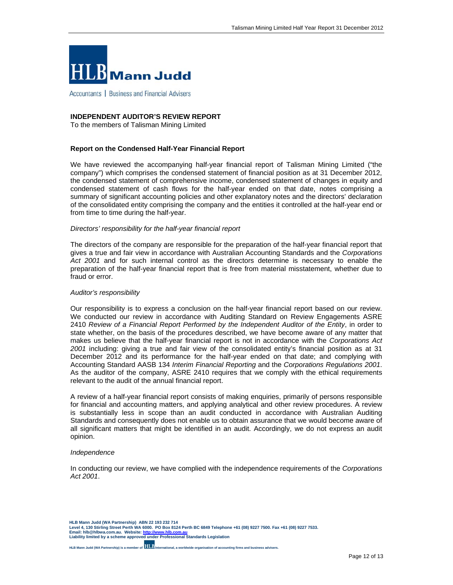

Accountants | Business and Financial Advisers

#### **INDEPENDENT AUDITOR'S REVIEW REPORT**

To the members of Talisman Mining Limited

#### **Report on the Condensed Half-Year Financial Report**

We have reviewed the accompanying half-year financial report of Talisman Mining Limited ("the company") which comprises the condensed statement of financial position as at 31 December 2012, the condensed statement of comprehensive income, condensed statement of changes in equity and condensed statement of cash flows for the half-year ended on that date, notes comprising a summary of significant accounting policies and other explanatory notes and the directors' declaration of the consolidated entity comprising the company and the entities it controlled at the half-year end or from time to time during the half-year.

#### *Directors' responsibility for the half-year financial report*

The directors of the company are responsible for the preparation of the half-year financial report that gives a true and fair view in accordance with Australian Accounting Standards and the *Corporations*  Act 2001 and for such internal control as the directors determine is necessary to enable the preparation of the half-year financial report that is free from material misstatement, whether due to fraud or error.

#### *Auditor's responsibility*

Our responsibility is to express a conclusion on the half-year financial report based on our review. We conducted our review in accordance with Auditing Standard on Review Engagements ASRE 2410 *Review of a Financial Report Performed by the Independent Auditor of the Entity*, in order to state whether, on the basis of the procedures described, we have become aware of any matter that makes us believe that the half-year financial report is not in accordance with the *Corporations Act 2001* including: giving a true and fair view of the consolidated entity's financial position as at 31 December 2012 and its performance for the half-year ended on that date; and complying with Accounting Standard AASB 134 *Interim Financial Reporting* and the *Corporations Regulations 2001*. As the auditor of the company, ASRE 2410 requires that we comply with the ethical requirements relevant to the audit of the annual financial report.

A review of a half-year financial report consists of making enquiries, primarily of persons responsible for financial and accounting matters, and applying analytical and other review procedures. A review is substantially less in scope than an audit conducted in accordance with Australian Auditing Standards and consequently does not enable us to obtain assurance that we would become aware of all significant matters that might be identified in an audit. Accordingly, we do not express an audit opinion.

#### *Independence*

In conducting our review, we have complied with the independence requirements of the *Corporations Act 2001*.

**HLB Mann Judd (WA Partnership) ABN 22 193 232 714 Level 4, 130 Stirling Street Perth WA 6000. PO Box 8124 Perth BC 6849 Telephone +61 (08) 9227 7500. Fax +61 (08) 9227 7533. Email: hlb@hlbwa.com.au. Website: http://www.hlb.com.au Liability limited by a scheme approved under Professional Standards Legislation** 

**HLB Mann Judd (WA Partnership) is a member of <b>HLB**